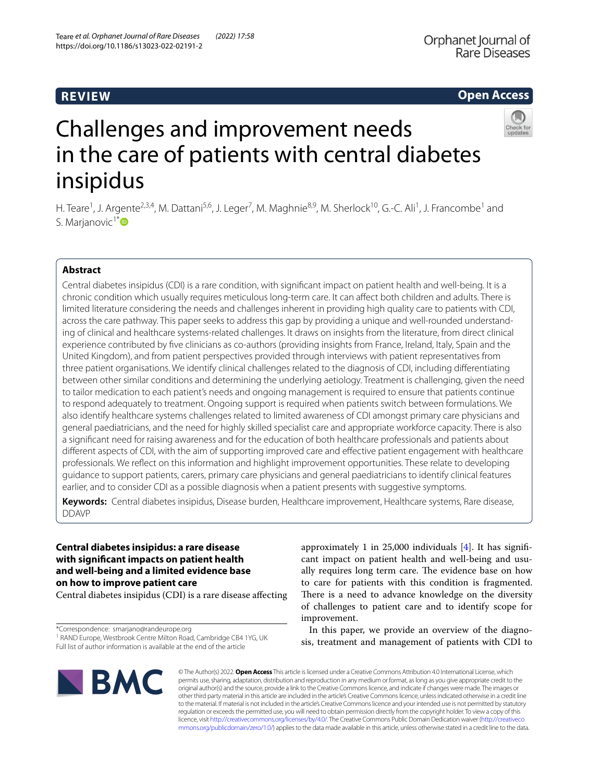# **REVIEW**

# **Open Access**



# Challenges and improvement needs in the care of patients with central diabetes insipidus

H. Teare<sup>1</sup>, J. Argente<sup>2,3,4</sup>, M. Dattani<sup>5,6</sup>, J. Leger<sup>7</sup>, M. Maghnie<sup>8,9</sup>, M. Sherlock<sup>10</sup>, G.-C. Ali<sup>1</sup>, J. Francombe<sup>1</sup> and S. Marjanovic<sup>1[\\*](http://orcid.org/0000-0002-6956-2007)</sup>

# **Abstract**

Central diabetes insipidus (CDI) is a rare condition, with signifcant impact on patient health and well-being. It is a chronic condition which usually requires meticulous long-term care. It can afect both children and adults. There is limited literature considering the needs and challenges inherent in providing high quality care to patients with CDI, across the care pathway. This paper seeks to address this gap by providing a unique and well-rounded understanding of clinical and healthcare systems-related challenges. It draws on insights from the literature, from direct clinical experience contributed by fve clinicians as co-authors (providing insights from France, Ireland, Italy, Spain and the United Kingdom), and from patient perspectives provided through interviews with patient representatives from three patient organisations. We identify clinical challenges related to the diagnosis of CDI, including diferentiating between other similar conditions and determining the underlying aetiology. Treatment is challenging, given the need to tailor medication to each patient's needs and ongoing management is required to ensure that patients continue to respond adequately to treatment. Ongoing support is required when patients switch between formulations. We also identify healthcare systems challenges related to limited awareness of CDI amongst primary care physicians and general paediatricians, and the need for highly skilled specialist care and appropriate workforce capacity. There is also a signifcant need for raising awareness and for the education of both healthcare professionals and patients about diferent aspects of CDI, with the aim of supporting improved care and efective patient engagement with healthcare professionals. We refect on this information and highlight improvement opportunities. These relate to developing guidance to support patients, carers, primary care physicians and general paediatricians to identify clinical features earlier, and to consider CDI as a possible diagnosis when a patient presents with suggestive symptoms.

**Keywords:** Central diabetes insipidus, Disease burden, Healthcare improvement, Healthcare systems, Rare disease, DDAVP

# **Central diabetes insipidus: a rare disease with signifcant impacts on patient health and well‑being and a limited evidence base on how to improve patient care**

Central diabetes insipidus (CDI) is a rare disease afecting

\*Correspondence: smarjano@randeurope.org

<sup>1</sup> RAND Europe, Westbrook Centre Milton Road, Cambridge CB4 1YG, UK Full list of author information is available at the end of the article

approximately 1 in 25,000 individuals  $[4]$  $[4]$ . It has significant impact on patient health and well-being and usually requires long term care. The evidence base on how to care for patients with this condition is fragmented. There is a need to advance knowledge on the diversity of challenges to patient care and to identify scope for improvement.

In this paper, we provide an overview of the diagnosis, treatment and management of patients with CDI to



© The Author(s) 2022. **Open Access** This article is licensed under a Creative Commons Attribution 4.0 International License, which permits use, sharing, adaptation, distribution and reproduction in any medium or format, as long as you give appropriate credit to the original author(s) and the source, provide a link to the Creative Commons licence, and indicate if changes were made. The images or other third party material in this article are included in the article's Creative Commons licence, unless indicated otherwise in a credit line to the material. If material is not included in the article's Creative Commons licence and your intended use is not permitted by statutory regulation or exceeds the permitted use, you will need to obtain permission directly from the copyright holder. To view a copy of this licence, visit [http://creativecommons.org/licenses/by/4.0/.](http://creativecommons.org/licenses/by/4.0/) The Creative Commons Public Domain Dedication waiver ([http://creativeco](http://creativecommons.org/publicdomain/zero/1.0/) [mmons.org/publicdomain/zero/1.0/](http://creativecommons.org/publicdomain/zero/1.0/)) applies to the data made available in this article, unless otherwise stated in a credit line to the data.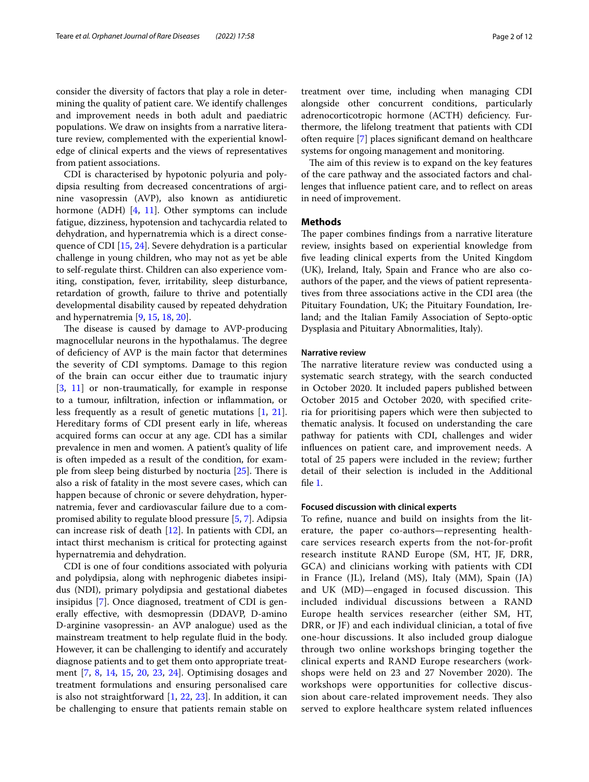consider the diversity of factors that play a role in determining the quality of patient care. We identify challenges and improvement needs in both adult and paediatric populations. We draw on insights from a narrative literature review, complemented with the experiential knowledge of clinical experts and the views of representatives from patient associations.

CDI is characterised by hypotonic polyuria and polydipsia resulting from decreased concentrations of arginine vasopressin (AVP), also known as antidiuretic hormone (ADH) [[4](#page-10-0), [11\]](#page-10-1). Other symptoms can include fatigue, dizziness, hypotension and tachycardia related to dehydration, and hypernatremia which is a direct consequence of CDI [[15,](#page-10-2) [24\]](#page-11-0). Severe dehydration is a particular challenge in young children, who may not as yet be able to self-regulate thirst. Children can also experience vomiting, constipation, fever, irritability, sleep disturbance, retardation of growth, failure to thrive and potentially developmental disability caused by repeated dehydration and hypernatremia [[9,](#page-10-3) [15](#page-10-2), [18,](#page-10-4) [20\]](#page-11-1).

The disease is caused by damage to AVP-producing magnocellular neurons in the hypothalamus. The degree of defciency of AVP is the main factor that determines the severity of CDI symptoms. Damage to this region of the brain can occur either due to traumatic injury [[3,](#page-10-5) [11](#page-10-1)] or non-traumatically, for example in response to a tumour, infltration, infection or infammation, or less frequently as a result of genetic mutations [\[1,](#page-10-6) [21](#page-11-2)]. Hereditary forms of CDI present early in life, whereas acquired forms can occur at any age. CDI has a similar prevalence in men and women. A patient's quality of life is often impeded as a result of the condition, for example from sleep being disturbed by nocturia  $[25]$  $[25]$ . There is also a risk of fatality in the most severe cases, which can happen because of chronic or severe dehydration, hypernatremia, fever and cardiovascular failure due to a compromised ability to regulate blood pressure [\[5](#page-10-7), [7\]](#page-10-8). Adipsia can increase risk of death [\[12\]](#page-10-9). In patients with CDI, an intact thirst mechanism is critical for protecting against hypernatremia and dehydration.

CDI is one of four conditions associated with polyuria and polydipsia, along with nephrogenic diabetes insipidus (NDI), primary polydipsia and gestational diabetes insipidus [\[7](#page-10-8)]. Once diagnosed, treatment of CDI is generally efective, with desmopressin (DDAVP, D-amino D-arginine vasopressin- an AVP analogue) used as the mainstream treatment to help regulate fuid in the body. However, it can be challenging to identify and accurately diagnose patients and to get them onto appropriate treatment [[7,](#page-10-8) [8,](#page-10-10) [14,](#page-10-11) [15,](#page-10-2) [20,](#page-11-1) [23](#page-11-4), [24](#page-11-0)]. Optimising dosages and treatment formulations and ensuring personalised care is also not straightforward [\[1](#page-10-6), [22](#page-11-5), [23](#page-11-4)]. In addition, it can be challenging to ensure that patients remain stable on treatment over time, including when managing CDI alongside other concurrent conditions, particularly adrenocorticotropic hormone (ACTH) defciency. Furthermore, the lifelong treatment that patients with CDI often require [[7\]](#page-10-8) places signifcant demand on healthcare systems for ongoing management and monitoring.

The aim of this review is to expand on the key features of the care pathway and the associated factors and challenges that influence patient care, and to reflect on areas in need of improvement.

## **Methods**

The paper combines findings from a narrative literature review, insights based on experiential knowledge from fve leading clinical experts from the United Kingdom (UK), Ireland, Italy, Spain and France who are also coauthors of the paper, and the views of patient representatives from three associations active in the CDI area (the Pituitary Foundation, UK; the Pituitary Foundation, Ireland; and the Italian Family Association of Septo-optic Dysplasia and Pituitary Abnormalities, Italy).

#### **Narrative review**

The narrative literature review was conducted using a systematic search strategy, with the search conducted in October 2020. It included papers published between October 2015 and October 2020, with specifed criteria for prioritising papers which were then subjected to thematic analysis. It focused on understanding the care pathway for patients with CDI, challenges and wider infuences on patient care, and improvement needs. A total of 25 papers were included in the review; further detail of their selection is included in the Additional fle [1](#page-10-12).

## **Focused discussion with clinical experts**

To refne, nuance and build on insights from the literature, the paper co-authors—representing healthcare services research experts from the not-for-proft research institute RAND Europe (SM, HT, JF, DRR, GCA) and clinicians working with patients with CDI in France (JL), Ireland (MS), Italy (MM), Spain (JA) and UK (MD)—engaged in focused discussion. This included individual discussions between a RAND Europe health services researcher (either SM, HT, DRR, or JF) and each individual clinician, a total of fve one-hour discussions. It also included group dialogue through two online workshops bringing together the clinical experts and RAND Europe researchers (workshops were held on 23 and 27 November 2020). The workshops were opportunities for collective discussion about care-related improvement needs. They also served to explore healthcare system related infuences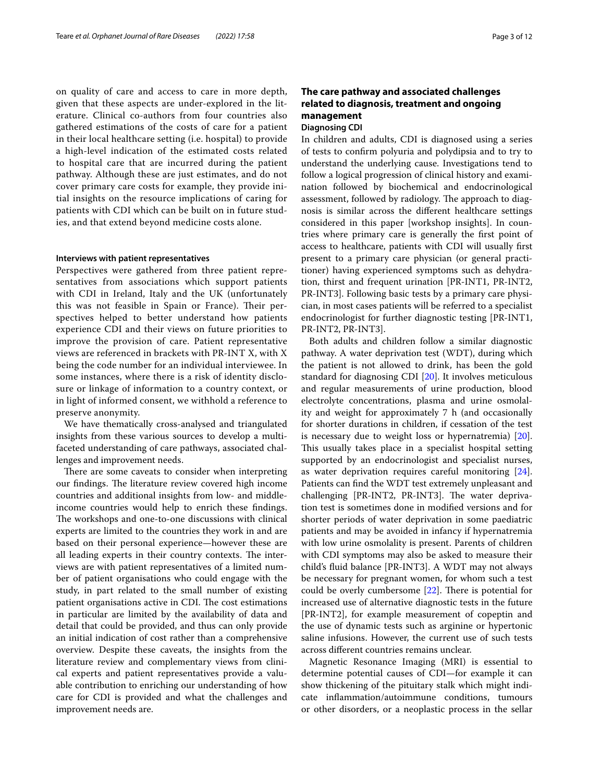on quality of care and access to care in more depth, given that these aspects are under-explored in the literature. Clinical co-authors from four countries also gathered estimations of the costs of care for a patient in their local healthcare setting (i.e. hospital) to provide a high-level indication of the estimated costs related to hospital care that are incurred during the patient pathway. Although these are just estimates, and do not cover primary care costs for example, they provide initial insights on the resource implications of caring for patients with CDI which can be built on in future studies, and that extend beyond medicine costs alone.

## **Interviews with patient representatives**

Perspectives were gathered from three patient representatives from associations which support patients with CDI in Ireland, Italy and the UK (unfortunately this was not feasible in Spain or France). Their perspectives helped to better understand how patients experience CDI and their views on future priorities to improve the provision of care. Patient representative views are referenced in brackets with PR-INT X, with X being the code number for an individual interviewee. In some instances, where there is a risk of identity disclosure or linkage of information to a country context, or in light of informed consent, we withhold a reference to preserve anonymity.

We have thematically cross-analysed and triangulated insights from these various sources to develop a multifaceted understanding of care pathways, associated challenges and improvement needs.

There are some caveats to consider when interpreting our findings. The literature review covered high income countries and additional insights from low- and middleincome countries would help to enrich these fndings. The workshops and one-to-one discussions with clinical experts are limited to the countries they work in and are based on their personal experience—however these are all leading experts in their country contexts. The interviews are with patient representatives of a limited number of patient organisations who could engage with the study, in part related to the small number of existing patient organisations active in CDI. The cost estimations in particular are limited by the availability of data and detail that could be provided, and thus can only provide an initial indication of cost rather than a comprehensive overview. Despite these caveats, the insights from the literature review and complementary views from clinical experts and patient representatives provide a valuable contribution to enriching our understanding of how care for CDI is provided and what the challenges and improvement needs are.

# **The care pathway and associated challenges related to diagnosis, treatment and ongoing management**

## **Diagnosing CDI**

In children and adults, CDI is diagnosed using a series of tests to confrm polyuria and polydipsia and to try to understand the underlying cause. Investigations tend to follow a logical progression of clinical history and examination followed by biochemical and endocrinological assessment, followed by radiology. The approach to diagnosis is similar across the diferent healthcare settings considered in this paper [workshop insights]. In countries where primary care is generally the frst point of access to healthcare, patients with CDI will usually frst present to a primary care physician (or general practitioner) having experienced symptoms such as dehydration, thirst and frequent urination [PR-INT1, PR-INT2, PR-INT3]. Following basic tests by a primary care physician, in most cases patients will be referred to a specialist endocrinologist for further diagnostic testing [PR-INT1, PR-INT2, PR-INT3].

Both adults and children follow a similar diagnostic pathway. A water deprivation test (WDT), during which the patient is not allowed to drink, has been the gold standard for diagnosing CDI [\[20](#page-11-1)]. It involves meticulous and regular measurements of urine production, blood electrolyte concentrations, plasma and urine osmolality and weight for approximately 7 h (and occasionally for shorter durations in children, if cessation of the test is necessary due to weight loss or hypernatremia) [\[20](#page-11-1)]. This usually takes place in a specialist hospital setting supported by an endocrinologist and specialist nurses, as water deprivation requires careful monitoring [\[24](#page-11-0)]. Patients can fnd the WDT test extremely unpleasant and challenging [PR-INT2, PR-INT3]. The water deprivation test is sometimes done in modifed versions and for shorter periods of water deprivation in some paediatric patients and may be avoided in infancy if hypernatremia with low urine osmolality is present. Parents of children with CDI symptoms may also be asked to measure their child's fuid balance [PR-INT3]. A WDT may not always be necessary for pregnant women, for whom such a test could be overly cumbersome  $[22]$  $[22]$ . There is potential for increased use of alternative diagnostic tests in the future [PR-INT2], for example measurement of copeptin and the use of dynamic tests such as arginine or hypertonic saline infusions. However, the current use of such tests across diferent countries remains unclear.

Magnetic Resonance Imaging (MRI) is essential to determine potential causes of CDI—for example it can show thickening of the pituitary stalk which might indicate infammation/autoimmune conditions, tumours or other disorders, or a neoplastic process in the sellar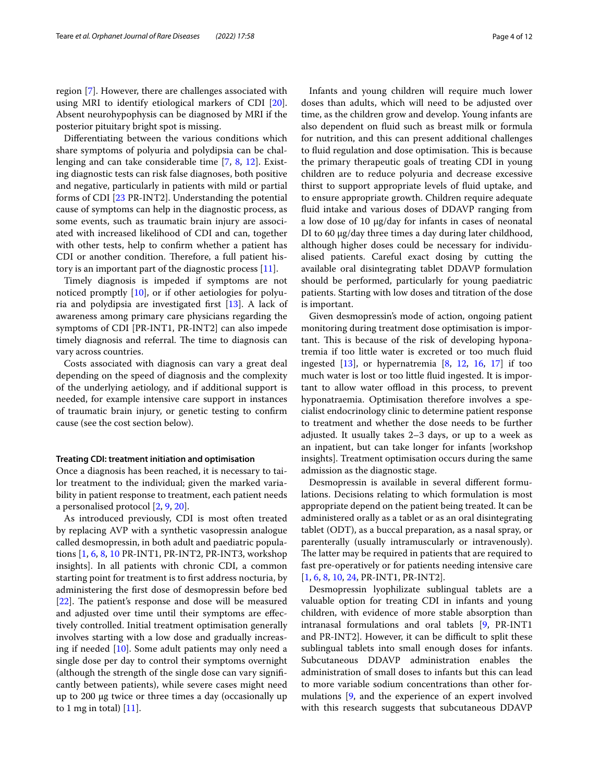region [[7\]](#page-10-8). However, there are challenges associated with using MRI to identify etiological markers of CDI [\[20](#page-11-1)]. Absent neurohypophysis can be diagnosed by MRI if the posterior pituitary bright spot is missing.

Diferentiating between the various conditions which share symptoms of polyuria and polydipsia can be challenging and can take considerable time [\[7](#page-10-8), [8,](#page-10-10) [12](#page-10-9)]. Existing diagnostic tests can risk false diagnoses, both positive and negative, particularly in patients with mild or partial forms of CDI [[23](#page-11-4) PR-INT2]. Understanding the potential cause of symptoms can help in the diagnostic process, as some events, such as traumatic brain injury are associated with increased likelihood of CDI and can, together with other tests, help to confrm whether a patient has CDI or another condition. Therefore, a full patient history is an important part of the diagnostic process [\[11](#page-10-1)].

Timely diagnosis is impeded if symptoms are not noticed promptly [[10](#page-10-13)], or if other aetiologies for polyuria and polydipsia are investigated frst [\[13\]](#page-10-14). A lack of awareness among primary care physicians regarding the symptoms of CDI [PR-INT1, PR-INT2] can also impede timely diagnosis and referral. The time to diagnosis can vary across countries.

Costs associated with diagnosis can vary a great deal depending on the speed of diagnosis and the complexity of the underlying aetiology, and if additional support is needed, for example intensive care support in instances of traumatic brain injury, or genetic testing to confrm cause (see the cost section below).

## **Treating CDI: treatment initiation and optimisation**

Once a diagnosis has been reached, it is necessary to tailor treatment to the individual; given the marked variability in patient response to treatment, each patient needs a personalised protocol [\[2](#page-10-15), [9,](#page-10-3) [20](#page-11-1)].

As introduced previously, CDI is most often treated by replacing AVP with a synthetic vasopressin analogue called desmopressin, in both adult and paediatric populations [[1](#page-10-6), [6,](#page-10-16) [8](#page-10-10), [10](#page-10-13) PR-INT1, PR-INT2, PR-INT3, workshop insights]. In all patients with chronic CDI, a common starting point for treatment is to frst address nocturia, by administering the frst dose of desmopressin before bed  $[22]$  $[22]$ . The patient's response and dose will be measured and adjusted over time until their symptoms are efectively controlled. Initial treatment optimisation generally involves starting with a low dose and gradually increasing if needed [[10](#page-10-13)]. Some adult patients may only need a single dose per day to control their symptoms overnight (although the strength of the single dose can vary signifcantly between patients), while severe cases might need up to 200 μg twice or three times a day (occasionally up to 1 mg in total)  $[11]$  $[11]$  $[11]$ .

Infants and young children will require much lower doses than adults, which will need to be adjusted over time, as the children grow and develop. Young infants are also dependent on fuid such as breast milk or formula for nutrition, and this can present additional challenges to fluid regulation and dose optimisation. This is because the primary therapeutic goals of treating CDI in young children are to reduce polyuria and decrease excessive thirst to support appropriate levels of fuid uptake, and to ensure appropriate growth. Children require adequate fuid intake and various doses of DDAVP ranging from a low dose of 10 µg/day for infants in cases of neonatal DI to 60 µg/day three times a day during later childhood, although higher doses could be necessary for individualised patients. Careful exact dosing by cutting the available oral disintegrating tablet DDAVP formulation should be performed, particularly for young paediatric patients. Starting with low doses and titration of the dose is important.

Given desmopressin's mode of action, ongoing patient monitoring during treatment dose optimisation is important. This is because of the risk of developing hyponatremia if too little water is excreted or too much fuid ingested  $[13]$ , or hypernatremia  $[8, 12, 16, 17]$  $[8, 12, 16, 17]$  $[8, 12, 16, 17]$  $[8, 12, 16, 17]$  $[8, 12, 16, 17]$  $[8, 12, 16, 17]$  $[8, 12, 16, 17]$  $[8, 12, 16, 17]$  $[8, 12, 16, 17]$  if too much water is lost or too little fuid ingested. It is important to allow water offload in this process, to prevent hyponatraemia. Optimisation therefore involves a specialist endocrinology clinic to determine patient response to treatment and whether the dose needs to be further adjusted. It usually takes 2–3 days, or up to a week as an inpatient, but can take longer for infants [workshop insights]. Treatment optimisation occurs during the same admission as the diagnostic stage.

Desmopressin is available in several diferent formulations. Decisions relating to which formulation is most appropriate depend on the patient being treated. It can be administered orally as a tablet or as an oral disintegrating tablet (ODT), as a buccal preparation, as a nasal spray, or parenterally (usually intramuscularly or intravenously). The latter may be required in patients that are required to fast pre-operatively or for patients needing intensive care [[1,](#page-10-6) [6](#page-10-16), [8,](#page-10-10) [10](#page-10-13), [24,](#page-11-0) PR-INT1, PR-INT2].

Desmopressin lyophilizate sublingual tablets are a valuable option for treating CDI in infants and young children, with evidence of more stable absorption than intranasal formulations and oral tablets [[9,](#page-10-3) PR-INT1 and PR-INT2]. However, it can be difficult to split these sublingual tablets into small enough doses for infants. Subcutaneous DDAVP administration enables the administration of small doses to infants but this can lead to more variable sodium concentrations than other formulations [[9,](#page-10-3) and the experience of an expert involved with this research suggests that subcutaneous DDAVP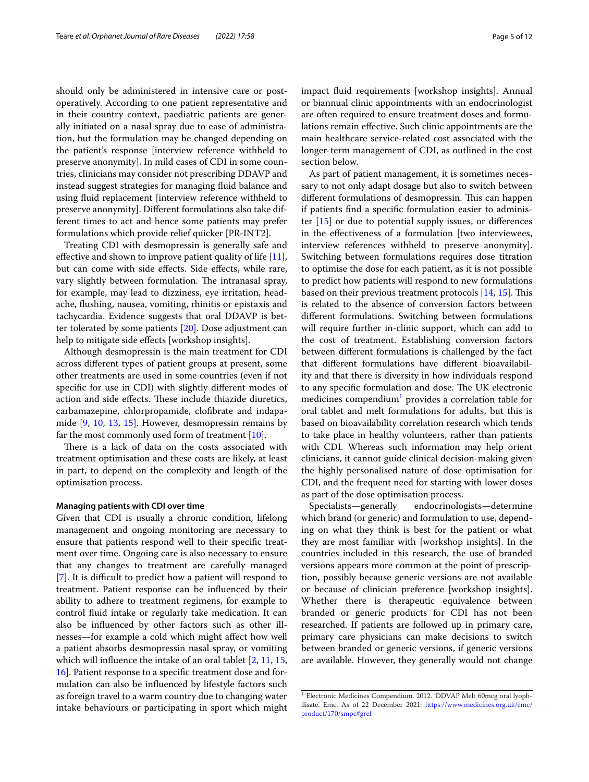should only be administered in intensive care or postoperatively. According to one patient representative and in their country context, paediatric patients are generally initiated on a nasal spray due to ease of administration, but the formulation may be changed depending on the patient's response [interview reference withheld to preserve anonymity]. In mild cases of CDI in some countries, clinicians may consider not prescribing DDAVP and instead suggest strategies for managing fuid balance and using fuid replacement [interview reference withheld to preserve anonymity]. Diferent formulations also take different times to act and hence some patients may prefer formulations which provide relief quicker [PR-INT2].

Treating CDI with desmopressin is generally safe and effective and shown to improve patient quality of life  $[11]$  $[11]$ , but can come with side effects. Side effects, while rare, vary slightly between formulation. The intranasal spray, for example, may lead to dizziness, eye irritation, headache, fushing, nausea, vomiting, rhinitis or epistaxis and tachycardia. Evidence suggests that oral DDAVP is better tolerated by some patients [[20\]](#page-11-1). Dose adjustment can help to mitigate side effects [workshop insights].

Although desmopressin is the main treatment for CDI across diferent types of patient groups at present, some other treatments are used in some countries (even if not specifc for use in CDI) with slightly diferent modes of action and side effects. These include thiazide diuretics, carbamazepine, chlorpropamide, clofbrate and indapamide [[9,](#page-10-3) [10](#page-10-13), [13](#page-10-14), [15\]](#page-10-2). However, desmopressin remains by far the most commonly used form of treatment [\[10](#page-10-13)].

There is a lack of data on the costs associated with treatment optimisation and these costs are likely, at least in part, to depend on the complexity and length of the optimisation process.

## **Managing patients with CDI over time**

Given that CDI is usually a chronic condition, lifelong management and ongoing monitoring are necessary to ensure that patients respond well to their specifc treatment over time. Ongoing care is also necessary to ensure that any changes to treatment are carefully managed [[7\]](#page-10-8). It is difficult to predict how a patient will respond to treatment. Patient response can be infuenced by their ability to adhere to treatment regimens, for example to control fuid intake or regularly take medication. It can also be infuenced by other factors such as other illnesses—for example a cold which might afect how well a patient absorbs desmopressin nasal spray, or vomiting which will influence the intake of an oral tablet [\[2](#page-10-15), [11,](#page-10-1) [15](#page-10-2), [16\]](#page-10-17). Patient response to a specifc treatment dose and formulation can also be infuenced by lifestyle factors such as foreign travel to a warm country due to changing water intake behaviours or participating in sport which might impact fuid requirements [workshop insights]. Annual or biannual clinic appointments with an endocrinologist are often required to ensure treatment doses and formulations remain efective. Such clinic appointments are the main healthcare service-related cost associated with the longer-term management of CDI, as outlined in the cost section below.

As part of patient management, it is sometimes necessary to not only adapt dosage but also to switch between different formulations of desmopressin. This can happen if patients fnd a specifc formulation easier to administer [[15\]](#page-10-2) or due to potential supply issues, or diferences in the efectiveness of a formulation [two interviewees, interview references withheld to preserve anonymity]. Switching between formulations requires dose titration to optimise the dose for each patient, as it is not possible to predict how patients will respond to new formulations based on their previous treatment protocols  $[14, 15]$  $[14, 15]$  $[14, 15]$  $[14, 15]$ . This is related to the absence of conversion factors between diferent formulations. Switching between formulations will require further in-clinic support, which can add to the cost of treatment. Establishing conversion factors between diferent formulations is challenged by the fact that diferent formulations have diferent bioavailability and that there is diversity in how individuals respond to any specific formulation and dose. The UK electronic medicines compendium<sup>[1](#page-4-0)</sup> provides a correlation table for oral tablet and melt formulations for adults, but this is based on bioavailability correlation research which tends to take place in healthy volunteers, rather than patients with CDI. Whereas such information may help orient clinicians, it cannot guide clinical decision-making given the highly personalised nature of dose optimisation for CDI, and the frequent need for starting with lower doses as part of the dose optimisation process.

Specialists—generally endocrinologists—determine which brand (or generic) and formulation to use, depending on what they think is best for the patient or what they are most familiar with [workshop insights]. In the countries included in this research, the use of branded versions appears more common at the point of prescription, possibly because generic versions are not available or because of clinician preference [workshop insights]. Whether there is therapeutic equivalence between branded or generic products for CDI has not been researched. If patients are followed up in primary care, primary care physicians can make decisions to switch between branded or generic versions, if generic versions are available. However, they generally would not change

<span id="page-4-0"></span><sup>&</sup>lt;sup>1</sup> Electronic Medicines Compendium. 2012. 'DDVAP Melt 60mcg oral lyophilisate'. Emc. As of 22 December 2021: [https://www.medicines.org.uk/emc/](https://www.medicines.org.uk/emc/product/170/smpc#gref) [product/170/smpc#gref](https://www.medicines.org.uk/emc/product/170/smpc#gref)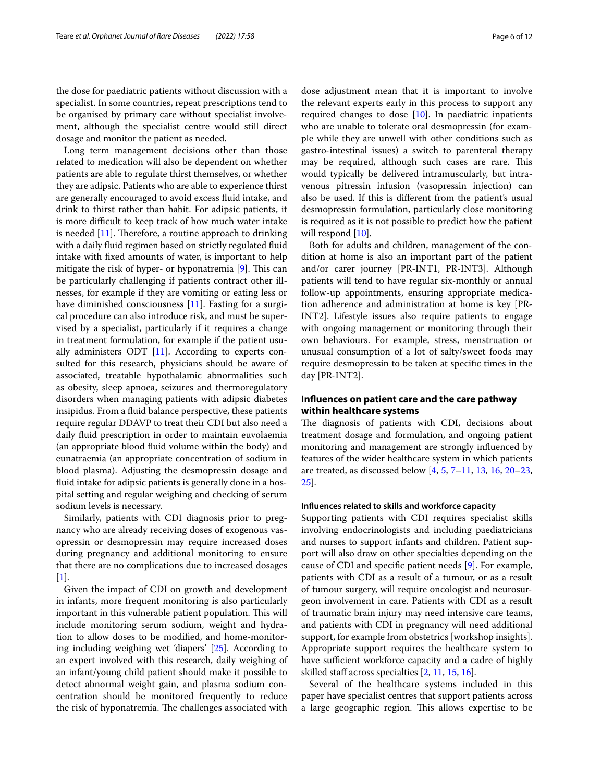the dose for paediatric patients without discussion with a specialist. In some countries, repeat prescriptions tend to be organised by primary care without specialist involvement, although the specialist centre would still direct dosage and monitor the patient as needed.

Long term management decisions other than those related to medication will also be dependent on whether patients are able to regulate thirst themselves, or whether they are adipsic. Patients who are able to experience thirst are generally encouraged to avoid excess fuid intake, and drink to thirst rather than habit. For adipsic patients, it is more difficult to keep track of how much water intake is needed  $[11]$  $[11]$  $[11]$ . Therefore, a routine approach to drinking with a daily fuid regimen based on strictly regulated fuid intake with fxed amounts of water, is important to help mitigate the risk of hyper- or hyponatremia  $[9]$  $[9]$ . This can be particularly challenging if patients contract other illnesses, for example if they are vomiting or eating less or have diminished consciousness [\[11](#page-10-1)]. Fasting for a surgical procedure can also introduce risk, and must be supervised by a specialist, particularly if it requires a change in treatment formulation, for example if the patient usually administers ODT  $[11]$ . According to experts consulted for this research, physicians should be aware of associated, treatable hypothalamic abnormalities such as obesity, sleep apnoea, seizures and thermoregulatory disorders when managing patients with adipsic diabetes insipidus. From a fuid balance perspective, these patients require regular DDAVP to treat their CDI but also need a daily fuid prescription in order to maintain euvolaemia (an appropriate blood fuid volume within the body) and eunatraemia (an appropriate concentration of sodium in blood plasma). Adjusting the desmopressin dosage and fuid intake for adipsic patients is generally done in a hospital setting and regular weighing and checking of serum sodium levels is necessary.

Similarly, patients with CDI diagnosis prior to pregnancy who are already receiving doses of exogenous vasopressin or desmopressin may require increased doses during pregnancy and additional monitoring to ensure that there are no complications due to increased dosages [[1\]](#page-10-6).

Given the impact of CDI on growth and development in infants, more frequent monitoring is also particularly important in this vulnerable patient population. This will include monitoring serum sodium, weight and hydration to allow doses to be modifed, and home-monitoring including weighing wet 'diapers' [\[25](#page-11-3)]. According to an expert involved with this research, daily weighing of an infant/young child patient should make it possible to detect abnormal weight gain, and plasma sodium concentration should be monitored frequently to reduce the risk of hyponatremia. The challenges associated with dose adjustment mean that it is important to involve the relevant experts early in this process to support any required changes to dose  $[10]$ . In paediatric inpatients who are unable to tolerate oral desmopressin (for example while they are unwell with other conditions such as gastro-intestinal issues) a switch to parenteral therapy may be required, although such cases are rare. This would typically be delivered intramuscularly, but intravenous pitressin infusion (vasopressin injection) can also be used. If this is diferent from the patient's usual desmopressin formulation, particularly close monitoring is required as it is not possible to predict how the patient will respond  $[10]$  $[10]$  $[10]$ .

Both for adults and children, management of the condition at home is also an important part of the patient and/or carer journey [PR-INT1, PR-INT3]. Although patients will tend to have regular six-monthly or annual follow-up appointments, ensuring appropriate medication adherence and administration at home is key [PR-INT2]. Lifestyle issues also require patients to engage with ongoing management or monitoring through their own behaviours. For example, stress, menstruation or unusual consumption of a lot of salty/sweet foods may require desmopressin to be taken at specifc times in the day [PR-INT2].

# **Infuences on patient care and the care pathway within healthcare systems**

The diagnosis of patients with CDI, decisions about treatment dosage and formulation, and ongoing patient monitoring and management are strongly infuenced by features of the wider healthcare system in which patients are treated, as discussed below  $[4, 5, 7-11, 13, 16, 20-23,$  $[4, 5, 7-11, 13, 16, 20-23,$  $[4, 5, 7-11, 13, 16, 20-23,$  $[4, 5, 7-11, 13, 16, 20-23,$  $[4, 5, 7-11, 13, 16, 20-23,$  $[4, 5, 7-11, 13, 16, 20-23,$  $[4, 5, 7-11, 13, 16, 20-23,$  $[4, 5, 7-11, 13, 16, 20-23,$  $[4, 5, 7-11, 13, 16, 20-23,$  $[4, 5, 7-11, 13, 16, 20-23,$  $[4, 5, 7-11, 13, 16, 20-23,$ [25\]](#page-11-3).

## **Infuences related to skills and workforce capacity**

Supporting patients with CDI requires specialist skills involving endocrinologists and including paediatricians and nurses to support infants and children. Patient support will also draw on other specialties depending on the cause of CDI and specifc patient needs [[9\]](#page-10-3). For example, patients with CDI as a result of a tumour, or as a result of tumour surgery, will require oncologist and neurosurgeon involvement in care. Patients with CDI as a result of traumatic brain injury may need intensive care teams, and patients with CDI in pregnancy will need additional support, for example from obstetrics [workshop insights]. Appropriate support requires the healthcare system to have sufficient workforce capacity and a cadre of highly skilled staff across specialties  $[2, 11, 15, 16]$  $[2, 11, 15, 16]$  $[2, 11, 15, 16]$  $[2, 11, 15, 16]$  $[2, 11, 15, 16]$  $[2, 11, 15, 16]$  $[2, 11, 15, 16]$ .

Several of the healthcare systems included in this paper have specialist centres that support patients across a large geographic region. This allows expertise to be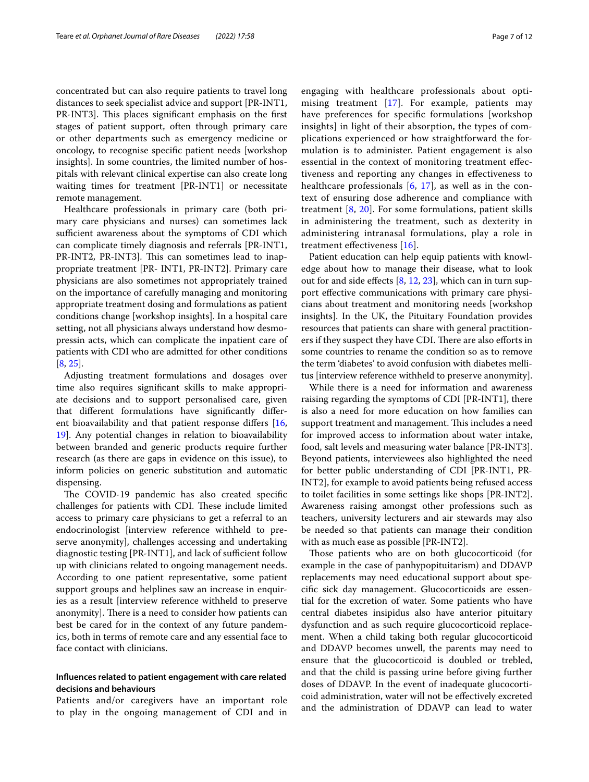concentrated but can also require patients to travel long distances to seek specialist advice and support [PR-INT1, PR-INT3]. This places significant emphasis on the first stages of patient support, often through primary care or other departments such as emergency medicine or oncology, to recognise specifc patient needs [workshop insights]. In some countries, the limited number of hospitals with relevant clinical expertise can also create long waiting times for treatment [PR-INT1] or necessitate remote management.

Healthcare professionals in primary care (both primary care physicians and nurses) can sometimes lack sufficient awareness about the symptoms of CDI which can complicate timely diagnosis and referrals [PR-INT1, PR-INT2, PR-INT3]. This can sometimes lead to inappropriate treatment [PR- INT1, PR-INT2]. Primary care physicians are also sometimes not appropriately trained on the importance of carefully managing and monitoring appropriate treatment dosing and formulations as patient conditions change [workshop insights]. In a hospital care setting, not all physicians always understand how desmopressin acts, which can complicate the inpatient care of patients with CDI who are admitted for other conditions [[8,](#page-10-10) [25](#page-11-3)].

Adjusting treatment formulations and dosages over time also requires signifcant skills to make appropriate decisions and to support personalised care, given that diferent formulations have signifcantly diferent bioavailability and that patient response difers [\[16](#page-10-17), [19\]](#page-11-6). Any potential changes in relation to bioavailability between branded and generic products require further research (as there are gaps in evidence on this issue), to inform policies on generic substitution and automatic dispensing.

The COVID-19 pandemic has also created specific challenges for patients with CDI. These include limited access to primary care physicians to get a referral to an endocrinologist [interview reference withheld to preserve anonymity], challenges accessing and undertaking diagnostic testing [PR-INT1], and lack of sufficient follow up with clinicians related to ongoing management needs. According to one patient representative, some patient support groups and helplines saw an increase in enquiries as a result [interview reference withheld to preserve anonymity]. There is a need to consider how patients can best be cared for in the context of any future pandemics, both in terms of remote care and any essential face to face contact with clinicians.

## **Infuences related to patient engagement with care related decisions and behaviours**

Patients and/or caregivers have an important role to play in the ongoing management of CDI and in engaging with healthcare professionals about optimising treatment [[17](#page-10-18)]. For example, patients may have preferences for specifc formulations [workshop insights] in light of their absorption, the types of complications experienced or how straightforward the formulation is to administer. Patient engagement is also essential in the context of monitoring treatment efectiveness and reporting any changes in efectiveness to healthcare professionals  $[6, 17]$  $[6, 17]$  $[6, 17]$ , as well as in the context of ensuring dose adherence and compliance with treatment [[8,](#page-10-10) [20](#page-11-1)]. For some formulations, patient skills in administering the treatment, such as dexterity in administering intranasal formulations, play a role in treatment efectiveness [[16\]](#page-10-17).

Patient education can help equip patients with knowledge about how to manage their disease, what to look out for and side efects [[8,](#page-10-10) [12](#page-10-9), [23\]](#page-11-4), which can in turn support efective communications with primary care physicians about treatment and monitoring needs [workshop insights]. In the UK, the Pituitary Foundation provides resources that patients can share with general practitioners if they suspect they have CDI. There are also efforts in some countries to rename the condition so as to remove the term 'diabetes' to avoid confusion with diabetes mellitus [interview reference withheld to preserve anonymity].

While there is a need for information and awareness raising regarding the symptoms of CDI [PR-INT1], there is also a need for more education on how families can support treatment and management. This includes a need for improved access to information about water intake, food, salt levels and measuring water balance [PR-INT3]. Beyond patients, interviewees also highlighted the need for better public understanding of CDI [PR-INT1, PR-INT2], for example to avoid patients being refused access to toilet facilities in some settings like shops [PR-INT2]. Awareness raising amongst other professions such as teachers, university lecturers and air stewards may also be needed so that patients can manage their condition with as much ease as possible [PR-INT2].

Those patients who are on both glucocorticoid (for example in the case of panhypopituitarism) and DDAVP replacements may need educational support about specifc sick day management. Glucocorticoids are essential for the excretion of water. Some patients who have central diabetes insipidus also have anterior pituitary dysfunction and as such require glucocorticoid replacement. When a child taking both regular glucocorticoid and DDAVP becomes unwell, the parents may need to ensure that the glucocorticoid is doubled or trebled, and that the child is passing urine before giving further doses of DDAVP. In the event of inadequate glucocorticoid administration, water will not be efectively excreted and the administration of DDAVP can lead to water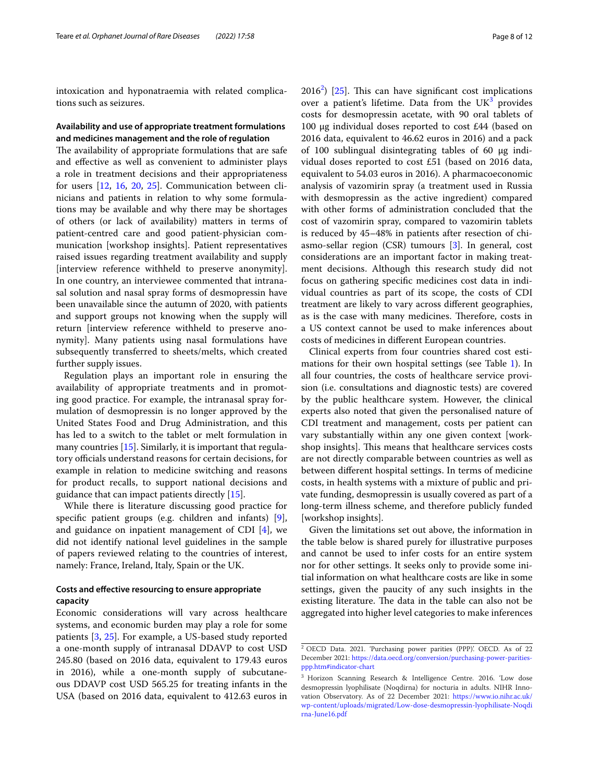intoxication and hyponatraemia with related complications such as seizures.

## **Availability and use of appropriate treatment formulations and medicines management and the role of regulation**

The availability of appropriate formulations that are safe and efective as well as convenient to administer plays a role in treatment decisions and their appropriateness for users [[12,](#page-10-9) [16,](#page-10-17) [20,](#page-11-1) [25\]](#page-11-3). Communication between clinicians and patients in relation to why some formulations may be available and why there may be shortages of others (or lack of availability) matters in terms of patient-centred care and good patient-physician communication [workshop insights]. Patient representatives raised issues regarding treatment availability and supply [interview reference withheld to preserve anonymity]. In one country, an interviewee commented that intranasal solution and nasal spray forms of desmopressin have been unavailable since the autumn of 2020, with patients and support groups not knowing when the supply will return [interview reference withheld to preserve anonymity]. Many patients using nasal formulations have subsequently transferred to sheets/melts, which created further supply issues.

Regulation plays an important role in ensuring the availability of appropriate treatments and in promoting good practice. For example, the intranasal spray formulation of desmopressin is no longer approved by the United States Food and Drug Administration, and this has led to a switch to the tablet or melt formulation in many countries [[15\]](#page-10-2). Similarly, it is important that regulatory officials understand reasons for certain decisions, for example in relation to medicine switching and reasons for product recalls, to support national decisions and guidance that can impact patients directly [\[15\]](#page-10-2).

While there is literature discussing good practice for specifc patient groups (e.g. children and infants) [\[9](#page-10-3)], and guidance on inpatient management of CDI [[4\]](#page-10-0), we did not identify national level guidelines in the sample of papers reviewed relating to the countries of interest, namely: France, Ireland, Italy, Spain or the UK.

## **Costs and efective resourcing to ensure appropriate capacity**

Economic considerations will vary across healthcare systems, and economic burden may play a role for some patients [\[3](#page-10-5), [25](#page-11-3)]. For example, a US-based study reported a one-month supply of intranasal DDAVP to cost USD 245.80 (based on 2016 data, equivalent to 179.43 euros in 2016), while a one-month supply of subcutaneous DDAVP cost USD 565.25 for treating infants in the USA (based on 2016 data, equivalent to 412.63 euros in

 $2016<sup>2</sup>$  $2016<sup>2</sup>$ ) [\[25](#page-11-3)]. This can have significant cost implications over a patient's lifetime. Data from the  $UK<sup>3</sup>$  provides costs for desmopressin acetate, with 90 oral tablets of 100 μg individual doses reported to cost £44 (based on 2016 data, equivalent to 46.62 euros in 2016) and a pack of 100 sublingual disintegrating tables of 60 μg individual doses reported to cost £51 (based on 2016 data, equivalent to 54.03 euros in 2016). A pharmacoeconomic analysis of vazomirin spray (a treatment used in Russia with desmopressin as the active ingredient) compared with other forms of administration concluded that the cost of vazomirin spray, compared to vazomirin tablets is reduced by 45–48% in patients after resection of chiasmo-sellar region (CSR) tumours [[3\]](#page-10-5). In general, cost considerations are an important factor in making treatment decisions. Although this research study did not focus on gathering specifc medicines cost data in individual countries as part of its scope, the costs of CDI treatment are likely to vary across diferent geographies, as is the case with many medicines. Therefore, costs in a US context cannot be used to make inferences about costs of medicines in diferent European countries.

Clinical experts from four countries shared cost estimations for their own hospital settings (see Table [1](#page-8-0)). In all four countries, the costs of healthcare service provision (i.e. consultations and diagnostic tests) are covered by the public healthcare system. However, the clinical experts also noted that given the personalised nature of CDI treatment and management, costs per patient can vary substantially within any one given context [workshop insights]. This means that healthcare services costs are not directly comparable between countries as well as between diferent hospital settings. In terms of medicine costs, in health systems with a mixture of public and private funding, desmopressin is usually covered as part of a long-term illness scheme, and therefore publicly funded [workshop insights].

Given the limitations set out above, the information in the table below is shared purely for illustrative purposes and cannot be used to infer costs for an entire system nor for other settings. It seeks only to provide some initial information on what healthcare costs are like in some settings, given the paucity of any such insights in the existing literature. The data in the table can also not be aggregated into higher level categories to make inferences

<span id="page-7-0"></span><sup>2</sup> OECD Data. 2021. 'Purchasing power parities (PPP)'. OECD. As of 22 December 2021: [https://data.oecd.org/conversion/purchasing-power-parities](https://data.oecd.org/conversion/purchasing-power-parities-ppp.htm#indicator-chart)[ppp.htm#indicator-chart](https://data.oecd.org/conversion/purchasing-power-parities-ppp.htm#indicator-chart)

<span id="page-7-1"></span><sup>3</sup> Horizon Scanning Research & Intelligence Centre. 2016. 'Low dose desmopressin lyophilisate (Noqdirna) for nocturia in adults. NIHR Innovation Observatory. As of 22 December 2021: [https://www.io.nihr.ac.uk/](https://www.io.nihr.ac.uk/wp-content/uploads/migrated/Low-dose-desmopressin-lyophilisate-Noqdirna-June16.pdf) [wp-content/uploads/migrated/Low-dose-desmopressin-lyophilisate-Noqdi](https://www.io.nihr.ac.uk/wp-content/uploads/migrated/Low-dose-desmopressin-lyophilisate-Noqdirna-June16.pdf) [rna-June16.pdf](https://www.io.nihr.ac.uk/wp-content/uploads/migrated/Low-dose-desmopressin-lyophilisate-Noqdirna-June16.pdf)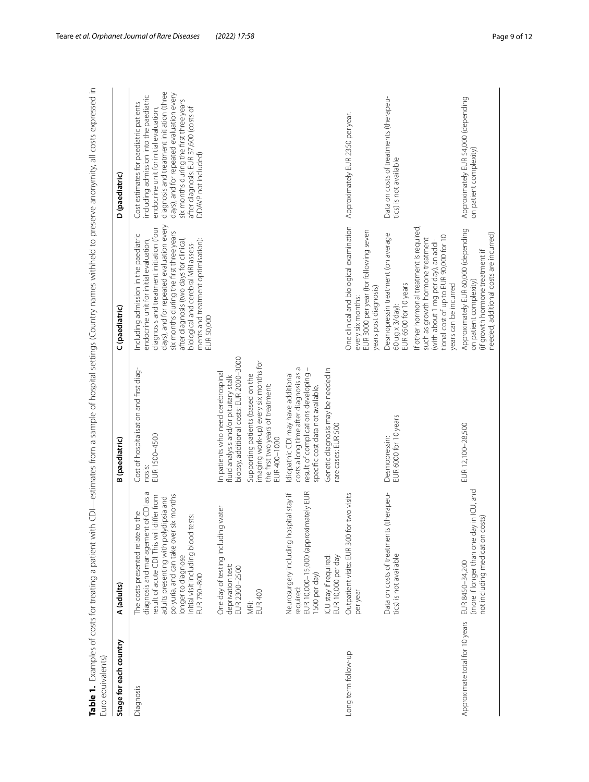<span id="page-8-0"></span>

| Stage for each country         | A (adults)                                                                                                                                                                                                                                                                              | <b>B</b> (paediatric)                                                                                                                                   | (paediatric)                                                                                                                                                                                                                                                                                                                                            | D (paediatric)                                                                                                                                                                                                                                                                                                                  |
|--------------------------------|-----------------------------------------------------------------------------------------------------------------------------------------------------------------------------------------------------------------------------------------------------------------------------------------|---------------------------------------------------------------------------------------------------------------------------------------------------------|---------------------------------------------------------------------------------------------------------------------------------------------------------------------------------------------------------------------------------------------------------------------------------------------------------------------------------------------------------|---------------------------------------------------------------------------------------------------------------------------------------------------------------------------------------------------------------------------------------------------------------------------------------------------------------------------------|
| Diagnosis                      | diagnosis and management of CDI as a<br>polyuria, and can take over six months<br>result of acute CDI. This will differ from<br>adults presenting with polydipsia and<br>The costs presented relate to the<br>Initial visit including blood tests:<br>longer to diagnose<br>EUR 750-800 | Cost of hospitalisation and first diag-<br>EUR 1500-4500<br>nosis:                                                                                      | days), and for repeated evaluation every<br>diagnosis and treatment initiation (four<br>six months during the first three years<br>Including admission in the paediatric<br>endocrine unit for initial evaluation,<br>ments and treatment optimisation):<br>after diagnosis (two days for clinical<br>biological and cerebral MRI assess-<br>EUR 50,000 | diagnosis and treatment initiation (three<br>days), and for repeated evaluation every<br>including admission into the paediatric<br>six months during the first three years<br>Cost estimates for paediatric patients<br>after diagnosis: EUR 37,600 (costs of<br>endocrine unit for initial evaluation,<br>DDAVP not included) |
|                                | water<br>One day of testing including<br>deprivation test:<br>EUR 2300-2500                                                                                                                                                                                                             | biopsy, additional costs: EUR 2000-3000<br>In patients who need cerebrospinal<br>fluid analysis and/or pituitary stalk                                  |                                                                                                                                                                                                                                                                                                                                                         |                                                                                                                                                                                                                                                                                                                                 |
|                                | EUR <sub>400</sub><br>MRi:                                                                                                                                                                                                                                                              | imaging work-up) every six months for<br>Supporting patients (based on the<br>the first two years of treatment:<br>EUR 400-1000                         |                                                                                                                                                                                                                                                                                                                                                         |                                                                                                                                                                                                                                                                                                                                 |
|                                | EUR 10,000-15,000 (approximately EUR<br>Neurosurgery including hospital stay if<br>1500 per day)<br>required:                                                                                                                                                                           | costs a long time after diagnosis as a<br>Idiopathic CDI may have additional<br>result of complications developing<br>specific cost data not available. |                                                                                                                                                                                                                                                                                                                                                         |                                                                                                                                                                                                                                                                                                                                 |
|                                | ICU stay if required:<br>EUR 10,000 per day                                                                                                                                                                                                                                             | Genetic diagnosis may be needed in<br>rare cases: EUR 500                                                                                               |                                                                                                                                                                                                                                                                                                                                                         |                                                                                                                                                                                                                                                                                                                                 |
| Long term follow-up            | two visits<br>Outpatient visits: EUR 300 for<br>per year                                                                                                                                                                                                                                |                                                                                                                                                         | One clinical and biological examination<br>EUR 3000 per year (for following seven<br>years post diagnosis)<br>every six months:                                                                                                                                                                                                                         | Approximately EUR 2350 per year.                                                                                                                                                                                                                                                                                                |
|                                | (therapeu-<br>Data on costs of treatments<br>tics) is not available                                                                                                                                                                                                                     | Desmopressin:<br>EUR 6000 for 10 years                                                                                                                  | Desmopressin treatment (on average<br>EUR 6500 for 10 years<br>60 ug x 3/day):                                                                                                                                                                                                                                                                          | Data on costs of treatments (therapeu-<br>tics) is not available                                                                                                                                                                                                                                                                |
|                                |                                                                                                                                                                                                                                                                                         |                                                                                                                                                         | If other hormonal treatment is required,<br>tional cost of up to EUR 90,000 for 10<br>such as growth hormone treatment<br>(with about 1 mg per day), an addi-<br>years can be incurred                                                                                                                                                                  |                                                                                                                                                                                                                                                                                                                                 |
| Approximate total for 10 years | (more if longer than one day in ICU, and<br>not including medication costs)<br>EUR 8450-34,200                                                                                                                                                                                          | EUR 12,100-28,500                                                                                                                                       | Approximately EUR 60,000 (depending<br>needed, additional costs are incurred)<br>(if growth hormone treatment if<br>on patient complexity)                                                                                                                                                                                                              | Approximately EUR 54,000 (depending<br>on patient complexity)                                                                                                                                                                                                                                                                   |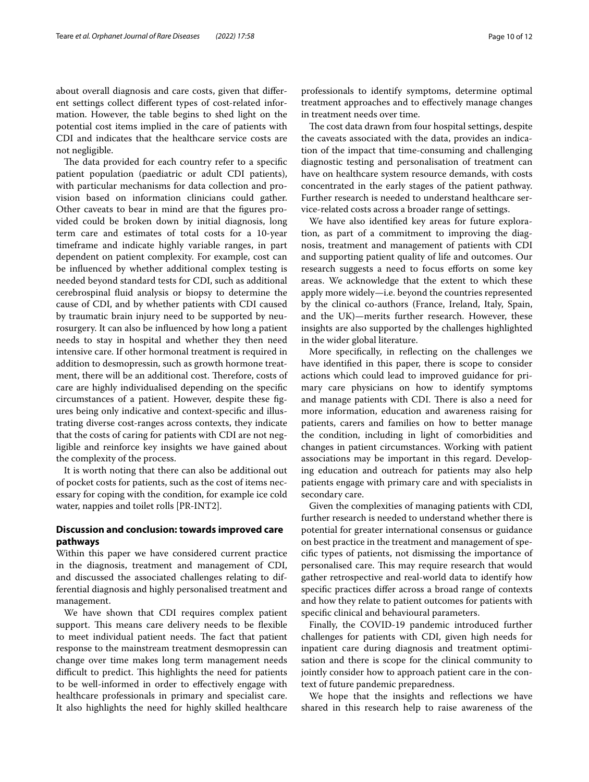about overall diagnosis and care costs, given that diferent settings collect diferent types of cost-related information. However, the table begins to shed light on the potential cost items implied in the care of patients with CDI and indicates that the healthcare service costs are not negligible.

The data provided for each country refer to a specific patient population (paediatric or adult CDI patients), with particular mechanisms for data collection and provision based on information clinicians could gather. Other caveats to bear in mind are that the fgures provided could be broken down by initial diagnosis, long term care and estimates of total costs for a 10-year timeframe and indicate highly variable ranges, in part dependent on patient complexity. For example, cost can be infuenced by whether additional complex testing is needed beyond standard tests for CDI, such as additional cerebrospinal fuid analysis or biopsy to determine the cause of CDI, and by whether patients with CDI caused by traumatic brain injury need to be supported by neurosurgery. It can also be infuenced by how long a patient needs to stay in hospital and whether they then need intensive care. If other hormonal treatment is required in addition to desmopressin, such as growth hormone treatment, there will be an additional cost. Therefore, costs of care are highly individualised depending on the specifc circumstances of a patient. However, despite these fgures being only indicative and context-specifc and illustrating diverse cost-ranges across contexts, they indicate that the costs of caring for patients with CDI are not negligible and reinforce key insights we have gained about the complexity of the process.

It is worth noting that there can also be additional out of pocket costs for patients, such as the cost of items necessary for coping with the condition, for example ice cold water, nappies and toilet rolls [PR-INT2].

## **Discussion and conclusion: towards improved care pathways**

Within this paper we have considered current practice in the diagnosis, treatment and management of CDI, and discussed the associated challenges relating to differential diagnosis and highly personalised treatment and management.

We have shown that CDI requires complex patient support. This means care delivery needs to be flexible to meet individual patient needs. The fact that patient response to the mainstream treatment desmopressin can change over time makes long term management needs difficult to predict. This highlights the need for patients to be well-informed in order to efectively engage with healthcare professionals in primary and specialist care. It also highlights the need for highly skilled healthcare professionals to identify symptoms, determine optimal treatment approaches and to efectively manage changes in treatment needs over time.

The cost data drawn from four hospital settings, despite the caveats associated with the data, provides an indication of the impact that time-consuming and challenging diagnostic testing and personalisation of treatment can have on healthcare system resource demands, with costs concentrated in the early stages of the patient pathway. Further research is needed to understand healthcare service-related costs across a broader range of settings.

We have also identifed key areas for future exploration, as part of a commitment to improving the diagnosis, treatment and management of patients with CDI and supporting patient quality of life and outcomes. Our research suggests a need to focus efforts on some key areas. We acknowledge that the extent to which these apply more widely—i.e. beyond the countries represented by the clinical co-authors (France, Ireland, Italy, Spain, and the UK)—merits further research. However, these insights are also supported by the challenges highlighted in the wider global literature.

More specifcally, in refecting on the challenges we have identifed in this paper, there is scope to consider actions which could lead to improved guidance for primary care physicians on how to identify symptoms and manage patients with CDI. There is also a need for more information, education and awareness raising for patients, carers and families on how to better manage the condition, including in light of comorbidities and changes in patient circumstances. Working with patient associations may be important in this regard. Developing education and outreach for patients may also help patients engage with primary care and with specialists in secondary care.

Given the complexities of managing patients with CDI, further research is needed to understand whether there is potential for greater international consensus or guidance on best practice in the treatment and management of specifc types of patients, not dismissing the importance of personalised care. This may require research that would gather retrospective and real-world data to identify how specifc practices difer across a broad range of contexts and how they relate to patient outcomes for patients with specifc clinical and behavioural parameters.

Finally, the COVID-19 pandemic introduced further challenges for patients with CDI, given high needs for inpatient care during diagnosis and treatment optimisation and there is scope for the clinical community to jointly consider how to approach patient care in the context of future pandemic preparedness.

We hope that the insights and refections we have shared in this research help to raise awareness of the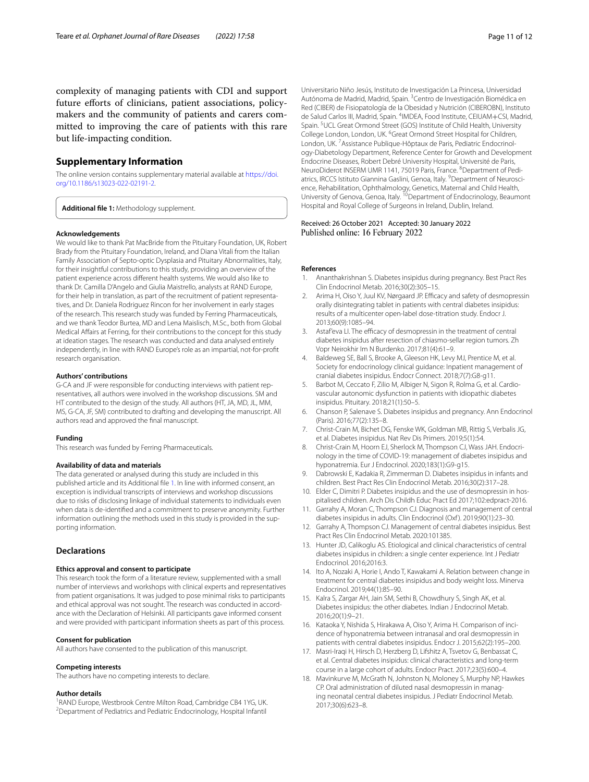complexity of managing patients with CDI and support future efforts of clinicians, patient associations, policymakers and the community of patients and carers committed to improving the care of patients with this rare but life-impacting condition.

## **Supplementary Information**

The online version contains supplementary material available at [https://doi.](https://doi.org/10.1186/s13023-022-02191-2) [org/10.1186/s13023-022-02191-2](https://doi.org/10.1186/s13023-022-02191-2).

<span id="page-10-12"></span>**Additional fle 1:** Methodology supplement.

#### **Acknowledgements**

We would like to thank Pat MacBride from the Pituitary Foundation, UK, Robert Brady from the Pituitary Foundation, Ireland, and Diana Vitali from the Italian Family Association of Septo-optic Dysplasia and Pituitary Abnormalities, Italy, for their insightful contributions to this study, providing an overview of the patient experience across diferent health systems. We would also like to thank Dr. Camilla D'Angelo and Giulia Maistrello, analysts at RAND Europe, for their help in translation, as part of the recruitment of patient representatives, and Dr. Daniela Rodriguez Rincon for her involvement in early stages of the research. This research study was funded by Ferring Pharmaceuticals, and we thank Teodor Burtea, MD and Lena Maislisch, M.Sc., both from Global Medical Afairs at Ferring, for their contributions to the concept for this study at ideation stages. The research was conducted and data analysed entirely independently, in line with RAND Europe's role as an impartial, not-for-proft research organisation.

#### **Authors' contributions**

G-CA and JF were responsible for conducting interviews with patient representatives, all authors were involved in the workshop discussions. SM and HT contributed to the design of the study. All authors (HT, JA, MD, JL, MM, MS, G-CA, JF, SM) contributed to drafting and developing the manuscript. All authors read and approved the fnal manuscript.

#### **Funding**

This research was funded by Ferring Pharmaceuticals.

#### **Availability of data and materials**

The data generated or analysed during this study are included in this published article and its Additional fle [1](#page-10-12). In line with informed consent, an exception is individual transcripts of interviews and workshop discussions due to risks of disclosing linkage of individual statements to individuals even when data is de-identifed and a commitment to preserve anonymity. Further information outlining the methods used in this study is provided in the supporting information.

## **Declarations**

#### **Ethics approval and consent to participate**

This research took the form of a literature review, supplemented with a small number of interviews and workshops with clinical experts and representatives from patient organisations. It was judged to pose minimal risks to participants and ethical approval was not sought. The research was conducted in accordance with the Declaration of Helsinki. All participants gave informed consent and were provided with participant information sheets as part of this process.

#### **Consent for publication**

All authors have consented to the publication of this manuscript.

## **Competing interests**

The authors have no competing interests to declare.

#### **Author details**

<sup>1</sup> RAND Europe, Westbrook Centre Milton Road, Cambridge CB4 1YG, UK.<br><sup>2</sup> Department of Pediatrics and Pediatric Endocripology, Hospital Infantil Department of Pediatrics and Pediatric Endocrinology, Hospital Infantil

Universitario Niño Jesús, Instituto de Investigación La Princesa, Universidad Autónoma de Madrid, Madrid, Spain. <sup>3</sup> Centro de Investigación Biomédica en Red (CIBER) de Fisiopatología de la Obesidad y Nutriciόn (CIBEROBN), Instituto de Salud Carlos III, Madrid, Spain. 4 IMDEA, Food Institute, CEIUAM+CSI, Madrid, Spain.<sup>5</sup> UCL Great Ormond Street (GOS) Institute of Child Health, University College London, London, UK. <sup>6</sup>Great Ormond Street Hospital for Children, London, UK.<sup>7</sup> Assistance Publique-Hôptaux de Paris, Pediatric Endocrinology‑Diabetology Department, Reference Center for Growth and Development Endocrine Diseases, Robert Debré University Hospital, Université de Paris, NeuroDiderot INSERM UMR 1141, 75019 Paris, France. <sup>8</sup>Department of Pediatrics, IRCCS Istituto Giannina Gaslini, Genoa, Italy. <sup>9</sup> Department of Neuroscience, Rehabilitation, Ophthalmology, Genetics, Maternal and Child Health, University of Genova, Genoa, Italy. <sup>10</sup>Department of Endocrinology, Beaumont Hospital and Royal College of Surgeons in Ireland, Dublin, Ireland.

## Received: 26 October 2021 Accepted: 30 January 2022 Published online: 16 February 2022

## **References**

- <span id="page-10-6"></span>1. Ananthakrishnan S. Diabetes insipidus during pregnancy. Best Pract Res Clin Endocrinol Metab. 2016;30(2):305–15.
- <span id="page-10-15"></span>2. Arima H, Oiso Y, Juul KV, Nørgaard JP. Efficacy and safety of desmopressin orally disintegrating tablet in patients with central diabetes insipidus: results of a multicenter open-label dose-titration study. Endocr J. 2013;60(9):1085–94.
- <span id="page-10-5"></span>3. Astaf'eva LI. The efficacy of desmopressin in the treatment of central diabetes insipidus after resection of chiasmo-sellar region tumors. Zh Vopr Neirokhir Im N Burdenko. 2017;81(4):61–9.
- <span id="page-10-0"></span>4. Baldeweg SE, Ball S, Brooke A, Gleeson HK, Levy MJ, Prentice M, et al. Society for endocrinology clinical guidance: Inpatient management of cranial diabetes insipidus. Endocr Connect. 2018;7(7):G8-g11.
- <span id="page-10-7"></span>5. Barbot M, Ceccato F, Zilio M, Albiger N, Sigon R, Rolma G, et al. Cardiovascular autonomic dysfunction in patients with idiopathic diabetes insipidus. Pituitary. 2018;21(1):50–5.
- <span id="page-10-16"></span>6. Chanson P, Salenave S. Diabetes insipidus and pregnancy. Ann Endocrinol (Paris). 2016;77(2):135–8.
- <span id="page-10-8"></span>7. Christ-Crain M, Bichet DG, Fenske WK, Goldman MB, Rittig S, Verbalis JG, et al. Diabetes insipidus. Nat Rev Dis Primers. 2019;5(1):54.
- <span id="page-10-10"></span>8. Christ-Crain M, Hoorn EJ, Sherlock M, Thompson CJ, Wass JAH. Endocrinology in the time of COVID-19: management of diabetes insipidus and hyponatremia. Eur J Endocrinol. 2020;183(1):G9-g15.
- <span id="page-10-3"></span>9. Dabrowski E, Kadakia R, Zimmerman D. Diabetes insipidus in infants and children. Best Pract Res Clin Endocrinol Metab. 2016;30(2):317–28.
- <span id="page-10-13"></span>10. Elder C, Dimitri P. Diabetes insipidus and the use of desmopressin in hospitalised children. Arch Dis Childh Educ Pract Ed 2017;102:edpract-2016.
- <span id="page-10-1"></span>11. Garrahy A, Moran C, Thompson CJ. Diagnosis and management of central diabetes insipidus in adults. Clin Endocrinol (Oxf ). 2019;90(1):23–30.
- <span id="page-10-9"></span>12. Garrahy A, Thompson CJ. Management of central diabetes insipidus. Best Pract Res Clin Endocrinol Metab. 2020:101385.
- <span id="page-10-14"></span>13. Hunter JD, Calikoglu AS. Etiological and clinical characteristics of central diabetes insipidus in children: a single center experience. Int J Pediatr Endocrinol. 2016;2016:3.
- <span id="page-10-11"></span>14. Ito A, Nozaki A, Horie I, Ando T, Kawakami A. Relation between change in treatment for central diabetes insipidus and body weight loss. Minerva Endocrinol. 2019;44(1):85–90.
- <span id="page-10-2"></span>15. Kalra S, Zargar AH, Jain SM, Sethi B, Chowdhury S, Singh AK, et al. Diabetes insipidus: the other diabetes. Indian J Endocrinol Metab. 2016;20(1):9–21.
- <span id="page-10-17"></span>16. Kataoka Y, Nishida S, Hirakawa A, Oiso Y, Arima H. Comparison of incidence of hyponatremia between intranasal and oral desmopressin in patients with central diabetes insipidus. Endocr J. 2015;62(2):195–200.
- <span id="page-10-18"></span>17. Masri-Iraqi H, Hirsch D, Herzberg D, Lifshitz A, Tsvetov G, Benbassat C, et al. Central diabetes insipidus: clinical characteristics and long-term course in a large cohort of adults. Endocr Pract. 2017;23(5):600–4.
- <span id="page-10-4"></span>18. Mavinkurve M, McGrath N, Johnston N, Moloney S, Murphy NP, Hawkes CP. Oral administration of diluted nasal desmopressin in managing neonatal central diabetes insipidus. J Pediatr Endocrinol Metab. 2017;30(6):623–8.